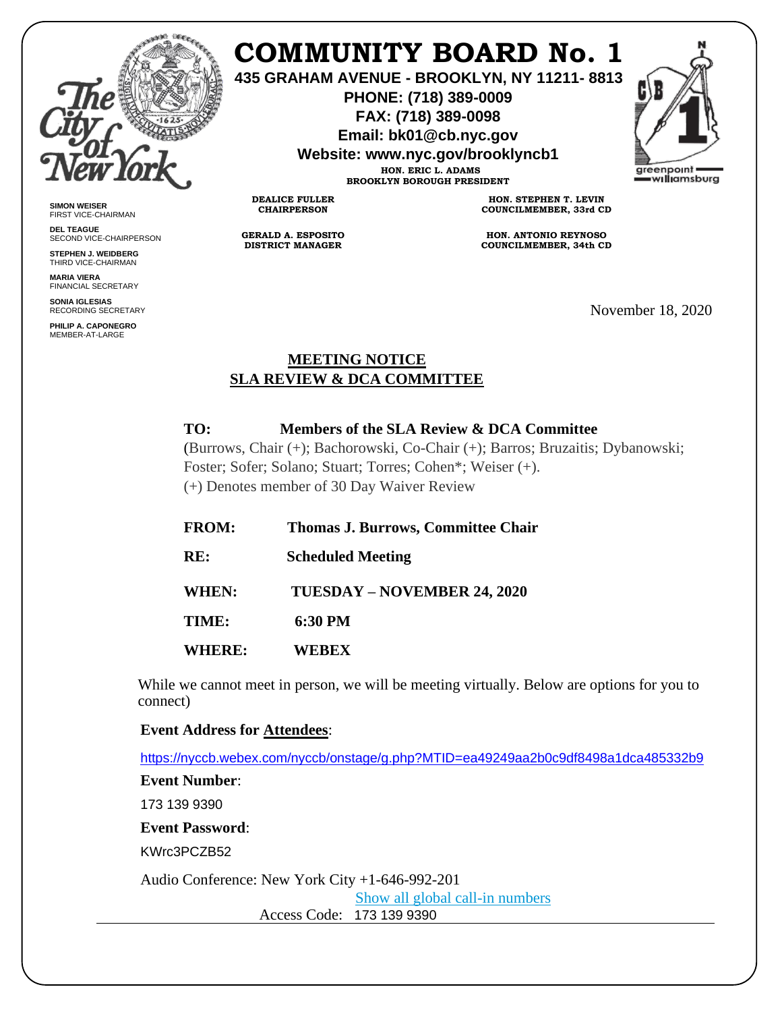

**SIMON WEISER** FIRST VICE-CHAIRMAN **DEL TEAGUE**

SECOND VICE-CHAIRPERSON **STEPHEN J. WEIDBERG** THIRD VICE-CHAIRMAN **MARIA VIERA** FINANCIAL SECRETARY **SONIA IGLESIAS** RECORDING SECRETARY **PHILIP A. CAPONEGRO** MEMBER-AT-LARGE

# **COMMUNITY BOARD No. 1**

**435 GRAHAM AVENUE - BROOKLYN, NY 11211- 8813**

**PHONE: (718) 389-0009 FAX: (718) 389-0098**

**Email: bk01@cb.nyc.gov**

**Website: www.nyc.gov/brooklyncb1**

**HON. ERIC L. ADAMS BROOKLYN BOROUGH PRESIDENT**

**DEALICE FULLER CHAIRPERSON**

**GERALD A. ESPOSITO DISTRICT MANAGER**

**HON. STEPHEN T. LEVIN COUNCILMEMBER, 33rd CD**

**HON. ANTONIO REYNOSO COUNCILMEMBER, 34th CD**

November 18, 2020

areenpoint williamsburg

## **MEETING NOTICE SLA REVIEW & DCA COMMITTEE**

## **TO: Members of the SLA Review & DCA Committee**

(Burrows, Chair (+); Bachorowski, Co-Chair (+); Barros; Bruzaitis; Dybanowski; Foster; Sofer; Solano; Stuart; Torres; Cohen\*; Weiser (+). (+) Denotes member of 30 Day Waiver Review

| <b>FROM:</b>  | <b>Thomas J. Burrows, Committee Chair</b> |
|---------------|-------------------------------------------|
| RE:           | <b>Scheduled Meeting</b>                  |
| <b>WHEN:</b>  | TUESDAY – NOVEMBER 24, 2020               |
| TIME:         | 6:30 PM                                   |
| <b>WHERE:</b> | WEBEX                                     |

While we cannot meet in person, we will be meeting virtually. Below are options for you to connect)

### **Event Address for Attendees**:

<https://nyccb.webex.com/nyccb/onstage/g.php?MTID=ea49249aa2b0c9df8498a1dca485332b9>

**Event Number**: 173 139 9390 **Event Password**:

KWrc3PCZB52

Audio Conference: New York City +1-646-992-201

[Show all global call-in numbers](https://nyccb.webex.com/cmp3300/webcomponents/widget/globalcallin/globalcallin.do?siteurl=nyccb&serviceType=EC&eventID=1101180212&tollFree=0)

Access Code: 173 139 9390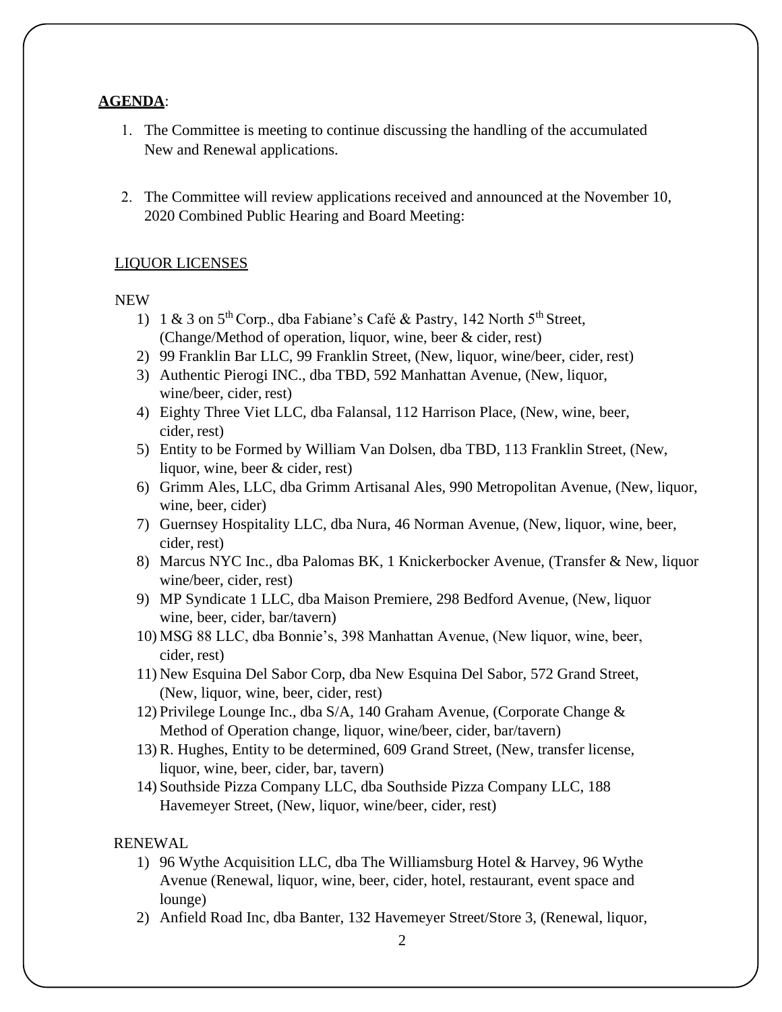### **AGENDA**:

- 1. The Committee is meeting to continue discussing the handling of the accumulated New and Renewal applications.
- 2. The Committee will review applications received and announced at the November 10, 2020 Combined Public Hearing and Board Meeting:

### LIQUOR LICENSES

#### NEW

- 1) 1 & 3 on  $5<sup>th</sup>$  Corp., dba Fabiane's Café & Pastry, 142 North  $5<sup>th</sup>$  Street, (Change/Method of operation, liquor, wine, beer & cider, rest)
- 2) 99 Franklin Bar LLC, 99 Franklin Street, (New, liquor, wine/beer, cider, rest)
- 3) Authentic Pierogi INC., dba TBD, 592 Manhattan Avenue, (New, liquor, wine/beer, cider, rest)
- 4) Eighty Three Viet LLC, dba Falansal, 112 Harrison Place, (New, wine, beer, cider, rest)
- 5) Entity to be Formed by William Van Dolsen, dba TBD, 113 Franklin Street, (New, liquor, wine, beer & cider, rest)
- 6) Grimm Ales, LLC, dba Grimm Artisanal Ales, 990 Metropolitan Avenue, (New, liquor, wine, beer, cider)
- 7) Guernsey Hospitality LLC, dba Nura, 46 Norman Avenue, (New, liquor, wine, beer, cider, rest)
- 8) Marcus NYC Inc., dba Palomas BK, 1 Knickerbocker Avenue, (Transfer & New, liquor wine/beer, cider, rest)
- 9) MP Syndicate 1 LLC, dba Maison Premiere, 298 Bedford Avenue, (New, liquor wine, beer, cider, bar/tavern)
- 10) MSG 88 LLC, dba Bonnie's, 398 Manhattan Avenue, (New liquor, wine, beer, cider, rest)
- 11) New Esquina Del Sabor Corp, dba New Esquina Del Sabor, 572 Grand Street, (New, liquor, wine, beer, cider, rest)
- 12) Privilege Lounge Inc., dba S/A, 140 Graham Avenue, (Corporate Change & Method of Operation change, liquor, wine/beer, cider, bar/tavern)
- 13) R. Hughes, Entity to be determined, 609 Grand Street, (New, transfer license, liquor, wine, beer, cider, bar, tavern)
- 14) Southside Pizza Company LLC, dba Southside Pizza Company LLC, 188 Havemeyer Street, (New, liquor, wine/beer, cider, rest)

## RENEWAL

- 1) 96 Wythe Acquisition LLC, dba The Williamsburg Hotel & Harvey, 96 Wythe Avenue (Renewal, liquor, wine, beer, cider, hotel, restaurant, event space and lounge)
- 2) Anfield Road Inc, dba Banter, 132 Havemeyer Street/Store 3, (Renewal, liquor,